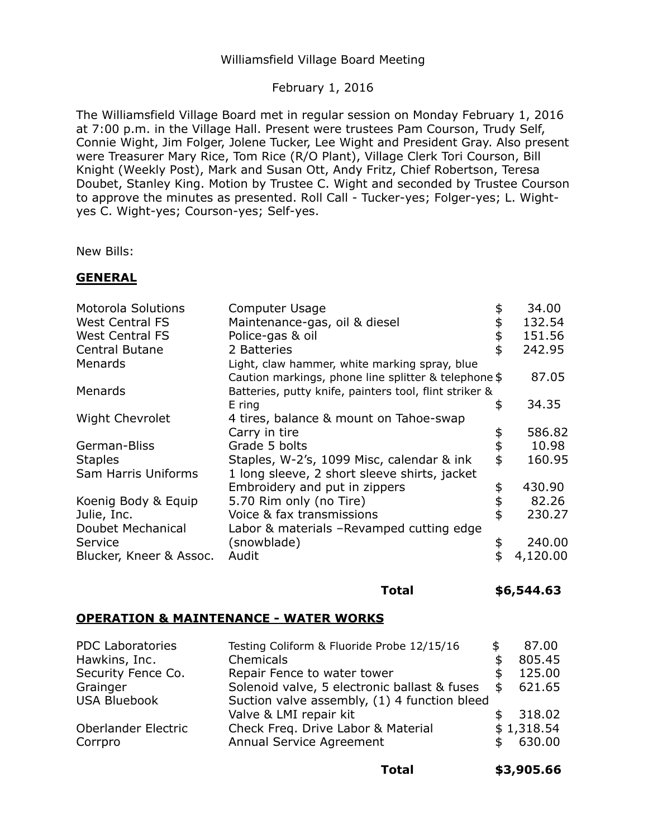# Williamsfield Village Board Meeting

## February 1, 2016

The Williamsfield Village Board met in regular session on Monday February 1, 2016 at 7:00 p.m. in the Village Hall. Present were trustees Pam Courson, Trudy Self, Connie Wight, Jim Folger, Jolene Tucker, Lee Wight and President Gray. Also present were Treasurer Mary Rice, Tom Rice (R/O Plant), Village Clerk Tori Courson, Bill Knight (Weekly Post), Mark and Susan Ott, Andy Fritz, Chief Robertson, Teresa Doubet, Stanley King. Motion by Trustee C. Wight and seconded by Trustee Courson to approve the minutes as presented. Roll Call - Tucker-yes; Folger-yes; L. Wightyes C. Wight-yes; Courson-yes; Self-yes.

New Bills:

### **GENERAL**

| <b>Motorola Solutions</b> | Computer Usage                                         | 34.00          |
|---------------------------|--------------------------------------------------------|----------------|
| <b>West Central FS</b>    | Maintenance-gas, oil & diesel                          | 132.54         |
| <b>West Central FS</b>    | Police-gas & oil                                       | 151.56         |
| Central Butane            | 2 Batteries                                            | \$<br>242.95   |
| Menards                   | Light, claw hammer, white marking spray, blue          |                |
|                           | Caution markings, phone line splitter & telephone \$   | 87.05          |
| Menards                   | Batteries, putty knife, painters tool, flint striker & |                |
|                           | E ring                                                 | \$<br>34.35    |
| <b>Wight Chevrolet</b>    | 4 tires, balance & mount on Tahoe-swap                 |                |
|                           | Carry in tire                                          | 586.82         |
| German-Bliss              | Grade 5 bolts                                          | 10.98          |
| <b>Staples</b>            | Staples, W-2's, 1099 Misc, calendar & ink              | \$<br>160.95   |
| Sam Harris Uniforms       | 1 long sleeve, 2 short sleeve shirts, jacket           |                |
|                           | Embroidery and put in zippers                          | \$<br>430.90   |
| Koenig Body & Equip       | 5.70 Rim only (no Tire)                                | 82.26          |
| Julie, Inc.               | Voice & fax transmissions                              | \$<br>230.27   |
| Doubet Mechanical         | Labor & materials -Revamped cutting edge               |                |
| Service                   | (snowblade)                                            | \$<br>240.00   |
| Blucker, Kneer & Assoc.   | Audit                                                  | \$<br>4,120.00 |
|                           |                                                        |                |

#### **Total \$[6,544.63](https://6,544.63)**

# **OPERATION & MAINTENANCE - WATER WORKS**

| <b>PDC Laboratories</b> | Testing Coliform & Fluoride Probe 12/15/16   | £. | 87.00      |
|-------------------------|----------------------------------------------|----|------------|
| Hawkins, Inc.           | Chemicals                                    |    | 805.45     |
| Security Fence Co.      | Repair Fence to water tower                  |    | 125.00     |
| Grainger                | Solenoid valve, 5 electronic ballast & fuses | S  | 621.65     |
| <b>USA Bluebook</b>     | Suction valve assembly, (1) 4 function bleed |    |            |
|                         | Valve & LMI repair kit                       |    | 318.02     |
| Oberlander Electric     | Check Freq. Drive Labor & Material           |    | \$1,318.54 |
| Corrpro                 | Annual Service Agreement                     |    | 630.00     |
|                         |                                              |    |            |

**Total \$[3,905.66](https://3,905.66)**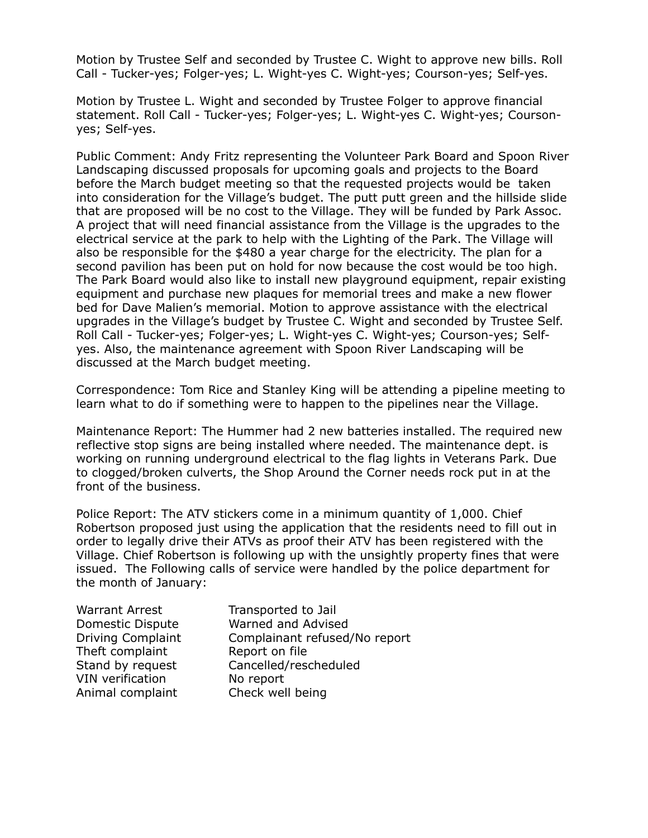Motion by Trustee Self and seconded by Trustee C. Wight to approve new bills. Roll Call - Tucker-yes; Folger-yes; L. Wight-yes C. Wight-yes; Courson-yes; Self-yes.

 Motion by Trustee L. Wight and seconded by Trustee Folger to approve financial statement. Roll Call - Tucker-yes; Folger-yes; L. Wight-yes C. Wight-yes; Courson-yes; Self-yes.

 Public Comment: Andy Fritz representing the Volunteer Park Board and Spoon River Landscaping discussed proposals for upcoming goals and projects to the Board before the March budget meeting so that the requested projects would be taken into consideration for the Village's budget. The putt putt green and the hillside slide that are proposed will be no cost to the Village. They will be funded by Park Assoc. A project that will need financial assistance from the Village is the upgrades to the electrical service at the park to help with the Lighting of the Park. The Village will also be responsible for the \$480 a year charge for the electricity. The plan for a second pavilion has been put on hold for now because the cost would be too high. The Park Board would also like to install new playground equipment, repair existing equipment and purchase new plaques for memorial trees and make a new flower bed for Dave Malien's memorial. Motion to approve assistance with the electrical upgrades in the Village's budget by Trustee C. Wight and seconded by Trustee Self. Roll Call - Tucker-yes; Folger-yes; L. Wight-yes C. Wight-yes; Courson-yes; Self- yes. Also, the maintenance agreement with Spoon River Landscaping will be discussed at the March budget meeting.

 Correspondence: Tom Rice and Stanley King will be attending a pipeline meeting to learn what to do if something were to happen to the pipelines near the Village.

 Maintenance Report: The Hummer had 2 new batteries installed. The required new reflective stop signs are being installed where needed. The maintenance dept. is working on running underground electrical to the flag lights in Veterans Park. Due to clogged/broken culverts, the Shop Around the Corner needs rock put in at the front of the business.

 Police Report: The ATV stickers come in a minimum quantity of 1,000. Chief Robertson proposed just using the application that the residents need to fill out in order to legally drive their ATVs as proof their ATV has been registered with the Village. Chief Robertson is following up with the unsightly property fines that were issued. The Following calls of service were handled by the police department for the month of January:

| <b>Warrant Arrest</b>    | Transported to Jail |
|--------------------------|---------------------|
| Domestic Dispute         | Warned and Advise   |
| <b>Driving Complaint</b> | Complainant refuse  |
| Theft complaint          | Report on file      |
| Stand by request         | Cancelled/reschedu  |
| <b>VIN verification</b>  | No report           |
| Animal complaint         | Check well being    |

 Driving Complaint Complainant refused/No report Warned and Advised Cancelled/rescheduled No report